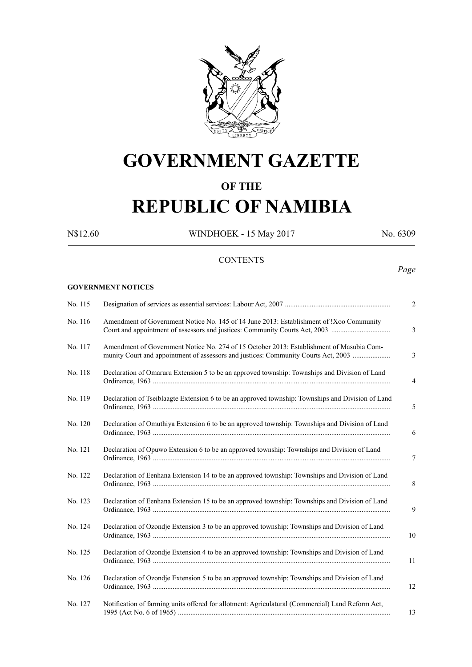

# **GOVERNMENT GAZETTE**

## **OF THE**

# **REPUBLIC OF NAMIBIA**

N\$12.60 WINDHOEK - 15 May 2017 No. 6309

#### **CONTENTS**

#### *Page*

## **GOVERNMENT NOTICES**

| No. 115 |                                                                                                                                                                                | 2              |
|---------|--------------------------------------------------------------------------------------------------------------------------------------------------------------------------------|----------------|
| No. 116 | Amendment of Government Notice No. 145 of 14 June 2013: Establishment of !Xoo Community                                                                                        | $\mathfrak{Z}$ |
| No. 117 | Amendment of Government Notice No. 274 of 15 October 2013: Establishment of Masubia Com-<br>munity Court and appointment of assessors and justices: Community Courts Act, 2003 | 3              |
| No. 118 | Declaration of Omaruru Extension 5 to be an approved township: Townships and Division of Land                                                                                  | $\overline{4}$ |
| No. 119 | Declaration of Tseiblaagte Extension 6 to be an approved township: Townships and Division of Land                                                                              | 5              |
| No. 120 | Declaration of Omuthiya Extension 6 to be an approved township: Townships and Division of Land                                                                                 | 6              |
| No. 121 | Declaration of Opuwo Extension 6 to be an approved township: Townships and Division of Land                                                                                    | $\tau$         |
| No. 122 | Declaration of Eenhana Extension 14 to be an approved township: Townships and Division of Land                                                                                 | 8              |
| No. 123 | Declaration of Eenhana Extension 15 to be an approved township: Townships and Division of Land                                                                                 | 9              |
| No. 124 | Declaration of Ozondje Extension 3 to be an approved township: Townships and Division of Land                                                                                  | 10             |
| No. 125 | Declaration of Ozondje Extension 4 to be an approved township: Townships and Division of Land                                                                                  | 11             |
| No. 126 | Declaration of Ozondje Extension 5 to be an approved township: Townships and Division of Land                                                                                  | 12             |
| No. 127 | Notification of farming units offered for allotment: Agriculatural (Commercial) Land Reform Act,                                                                               | 13             |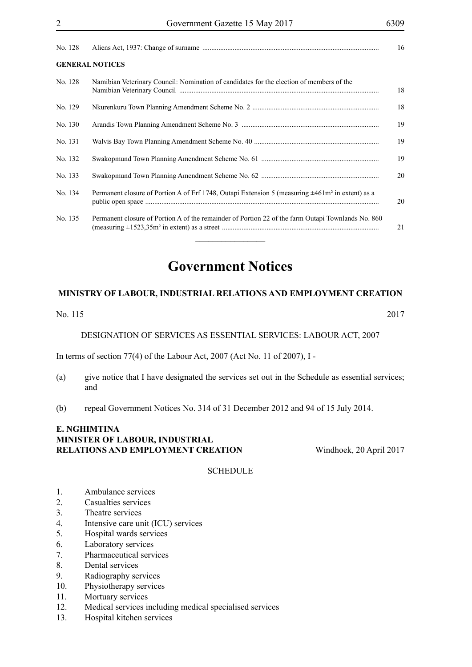| <b>GENERAL NOTICES</b> |  |
|------------------------|--|

| No. 128 | Namibian Veterinary Council: Nomination of candidates for the election of members of the                           | 18 |
|---------|--------------------------------------------------------------------------------------------------------------------|----|
| No. 129 |                                                                                                                    | 18 |
| No. 130 |                                                                                                                    | 19 |
| No. 131 |                                                                                                                    | 19 |
| No. 132 |                                                                                                                    | 19 |
| No. 133 |                                                                                                                    | 20 |
| No. 134 | Permanent closure of Portion A of Erf 1748, Outapi Extension 5 (measuring $\pm 461$ m <sup>2</sup> in extent) as a | 20 |
| No. 135 | Permanent closure of Portion A of the remainder of Portion 22 of the farm Outapi Townlands No. 860                 | 21 |

# **Government Notices**

#### **MINISTRY OF LABOUR, INDUSTRIAL RELATIONS AND EMPLOYMENT CREATION**

#### No. 115 2017

DESIGNATION OF SERVICES AS ESSENTIAL SERVICES: LABOUR ACT, 2007

In terms of section 77(4) of the Labour Act, 2007 (Act No. 11 of 2007), I -

- (a) give notice that I have designated the services set out in the Schedule as essential services; and
- (b) repeal Government Notices No. 314 of 31 December 2012 and 94 of 15 July 2014.

### **e. nghimtina MINISTER OF LABOUR, INDUSTRIAL RELATIONS AND EMPLOYMENT CREATION** Windhoek, 20 April 2017

#### **SCHEDULE**

- 1. Ambulance services
- 2. Casualties services
- 3. Theatre services
- 4. Intensive care unit (ICU) services
- 5. Hospital wards services
- 6. Laboratory services
- 7. Pharmaceutical services
- 8. Dental services
- 9. Radiography services
- 10. Physiotherapy services
- 11. Mortuary services
- 12. Medical services including medical specialised services
- 13. Hospital kitchen services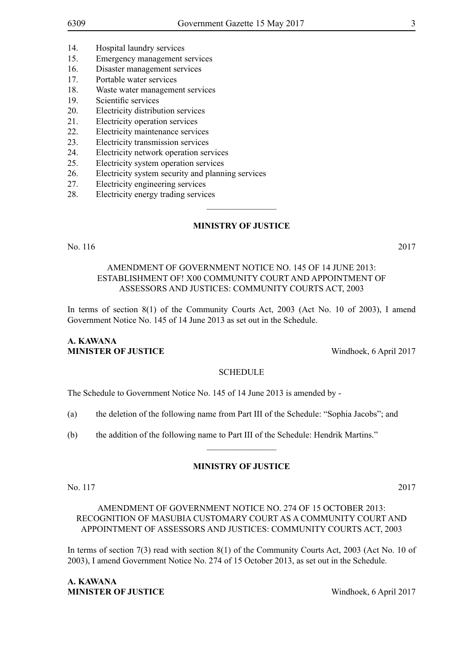- 14. Hospital laundry services
- 15. Emergency management services
- 16. Disaster management services
- 17. Portable water services
- 18. Waste water management services
- 19. Scientific services
- 20. Electricity distribution services
- 21. Electricity operation services
- 22. Electricity maintenance services
- 23. Electricity transmission services
- 24. Electricity network operation services
- 25. Electricity system operation services
- 26. Electricity system security and planning services
- 27. Electricity engineering services
- 28. Electricity energy trading services

#### **MINISTRY OF JUSTICE**

 $\frac{1}{2}$ 

No. 116 2017

#### AMENDMENT OF GOVERNMENT NOTICE NO. 145 OF 14 JUNE 2013: ESTABLISHMENT OF! X00 COMMUNITY COURT AND APPOINTMENT OF ASSESSORS AND JUSTICES: COMMUNITY COURTS ACT, 2003

In terms of section 8(1) of the Community Courts Act, 2003 (Act No. 10 of 2003), I amend Government Notice No. 145 of 14 June 2013 as set out in the Schedule.

#### **A. Kawana MINISTER OF JUSTICE** Windhoek, 6 April 2017

#### **SCHEDULE**

The Schedule to Government Notice No. 145 of 14 June 2013 is amended by -

(a) the deletion of the following name from Part III of the Schedule: "Sophia Jacobs"; and

(b) the addition of the following name to Part III of the Schedule: Hendrik Martins."

#### **MINISTRY OF JUSTICE**

 $\frac{1}{2}$ 

No. 117 2017

AMENDMENT OF GOVERNMENT NOTICE NO. 274 OF 15 OCTOBER 2013: RECOGNITION OF MASUBIA CUSTOMARY COURT AS A COMMUNITY COURT AND APPOINTMENT OF ASSESSORS AND JUSTICES: COMMUNITY COURTS ACT, 2003

In terms of section 7(3) read with section 8(1) of the Community Courts Act, 2003 (Act No. 10 of 2003), I amend Government Notice No. 274 of 15 October 2013, as set out in the Schedule.

**A. KAWANA MINISTER OF JUSTICE** Windhoek, 6 April 2017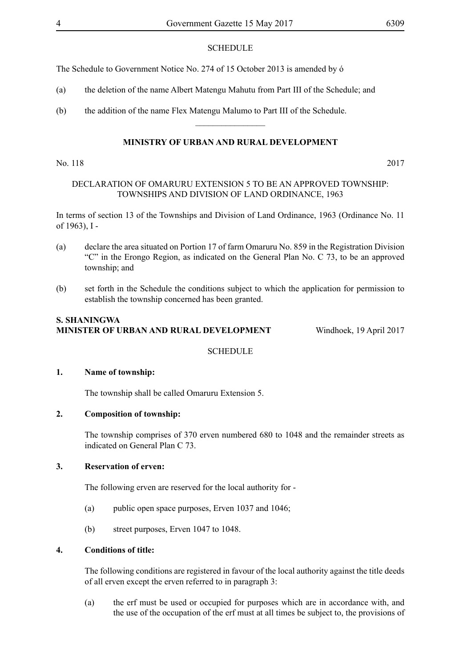#### **SCHEDULE**

The Schedule to Government Notice No. 274 of 15 October 2013 is amended by ó

- (a) the deletion of the name Albert Matengu Mahutu from Part III of the Schedule; and
- (b) the addition of the name Flex Matengu Malumo to Part III of the Schedule.

#### **MINISTRY OF URBAN AND RURAL DEVELOPMENT**

 $\overline{\phantom{a}}$  , where  $\overline{\phantom{a}}$ 

#### No. 118 2017

#### DECLARATION OF OMARURU EXTENSION 5 TO BE AN APPROVED TOWNSHIP: TOWNSHIPS AND DIVISION OF LAND ORDINANCE, 1963

In terms of section 13 of the Townships and Division of Land Ordinance, 1963 (Ordinance No. 11 of 1963), I -

- (a) declare the area situated on Portion 17 of farm Omaruru No. 859 in the Registration Division "C" in the Erongo Region, as indicated on the General Plan No. C 73, to be an approved township; and
- (b) set forth in the Schedule the conditions subject to which the application for permission to establish the township concerned has been granted.

#### **S. Shaningwa Minister of Urban and Rural Development** Windhoek, 19 April 2017

**SCHEDULE** 

#### **1. Name of township:**

The township shall be called Omaruru Extension 5.

#### **2. Composition of township:**

The township comprises of 370 erven numbered 680 to 1048 and the remainder streets as indicated on General Plan C 73.

#### **3. Reservation of erven:**

The following erven are reserved for the local authority for -

- (a) public open space purposes, Erven 1037 and 1046;
- (b) street purposes, Erven 1047 to 1048.

#### **4. Conditions of title:**

The following conditions are registered in favour of the local authority against the title deeds of all erven except the erven referred to in paragraph 3:

(a) the erf must be used or occupied for purposes which are in accordance with, and the use of the occupation of the erf must at all times be subject to, the provisions of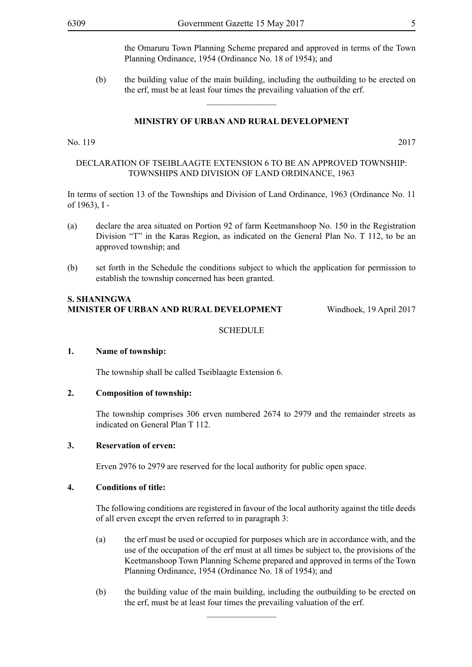the Omaruru Town Planning Scheme prepared and approved in terms of the Town Planning Ordinance, 1954 (Ordinance No. 18 of 1954); and

(b) the building value of the main building, including the outbuilding to be erected on the erf, must be at least four times the prevailing valuation of the erf.

#### **MINISTRY OF URBAN AND RURAL DEVELOPMENT**

 $\frac{1}{2}$ 

#### No. 119 2017

#### DECLARATION OF TSEIBLAAGTE EXTENSION 6 TO BE AN APPROVED TOWNSHIP: TOWNSHIPS AND DIVISION OF LAND ORDINANCE, 1963

In terms of section 13 of the Townships and Division of Land Ordinance, 1963 (Ordinance No. 11 of 1963), I -

- (a) declare the area situated on Portion 92 of farm Keetmanshoop No. 150 in the Registration Division "T" in the Karas Region, as indicated on the General Plan No. T 112, to be an approved township; and
- (b) set forth in the Schedule the conditions subject to which the application for permission to establish the township concerned has been granted.

#### **S. Shaningwa Minister of Urban and Rural Development** Windhoek, 19 April 2017

#### **SCHEDULE**

#### **1. Name of township:**

The township shall be called Tseiblaagte Extension 6.

#### **2. Composition of township:**

The township comprises 306 erven numbered 2674 to 2979 and the remainder streets as indicated on General Plan T 112.

#### **3. Reservation of erven:**

Erven 2976 to 2979 are reserved for the local authority for public open space.

#### **4. Conditions of title:**

The following conditions are registered in favour of the local authority against the title deeds of all erven except the erven referred to in paragraph 3:

- (a) the erf must be used or occupied for purposes which are in accordance with, and the use of the occupation of the erf must at all times be subject to, the provisions of the Keetmanshoop Town Planning Scheme prepared and approved in terms of the Town Planning Ordinance, 1954 (Ordinance No. 18 of 1954); and
- (b) the building value of the main building, including the outbuilding to be erected on the erf, must be at least four times the prevailing valuation of the erf.

 $\overline{\phantom{a}}$  , where  $\overline{\phantom{a}}$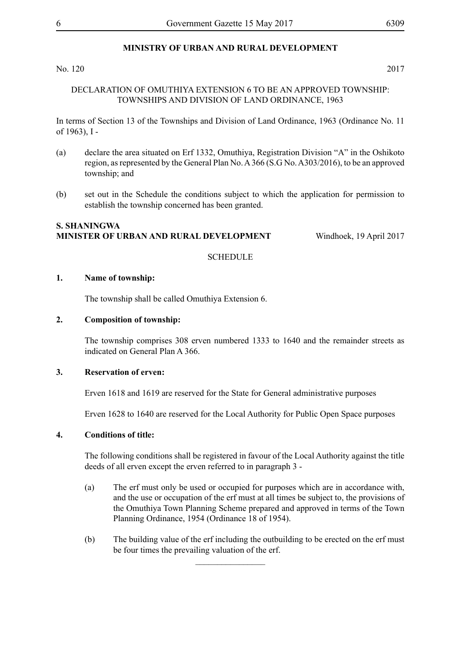No. 120 2017

#### DECLARATION OF OMUTHIYA EXTENSION 6 TO BE AN APPROVED TOWNSHIP: TOWNSHIPS AND DIVISION OF LAND ORDINANCE, 1963

In terms of Section 13 of the Townships and Division of Land Ordinance, 1963 (Ordinance No. 11 of 1963), I -

- (a) declare the area situated on Erf 1332, Omuthiya, Registration Division "A" in the Oshikoto region, as represented by the General Plan No. A 366 (S.G No. A303/2016), to be an approved township; and
- (b) set out in the Schedule the conditions subject to which the application for permission to establish the township concerned has been granted.

#### **S. Shaningwa Minister of Urban and Rural Development** Windhoek, 19 April 2017

#### **SCHEDULE**

#### **1. Name of township:**

The township shall be called Omuthiya Extension 6.

#### **2. Composition of township:**

The township comprises 308 erven numbered 1333 to 1640 and the remainder streets as indicated on General Plan A 366.

#### **3. Reservation of erven:**

Erven 1618 and 1619 are reserved for the State for General administrative purposes

Erven 1628 to 1640 are reserved for the Local Authority for Public Open Space purposes

#### **4. Conditions of title:**

The following conditions shall be registered in favour of the Local Authority against the title deeds of all erven except the erven referred to in paragraph 3 -

- (a) The erf must only be used or occupied for purposes which are in accordance with, and the use or occupation of the erf must at all times be subject to, the provisions of the Omuthiya Town Planning Scheme prepared and approved in terms of the Town Planning Ordinance, 1954 (Ordinance 18 of 1954).
- (b) The building value of the erf including the outbuilding to be erected on the erf must be four times the prevailing valuation of the erf.

 $\frac{1}{2}$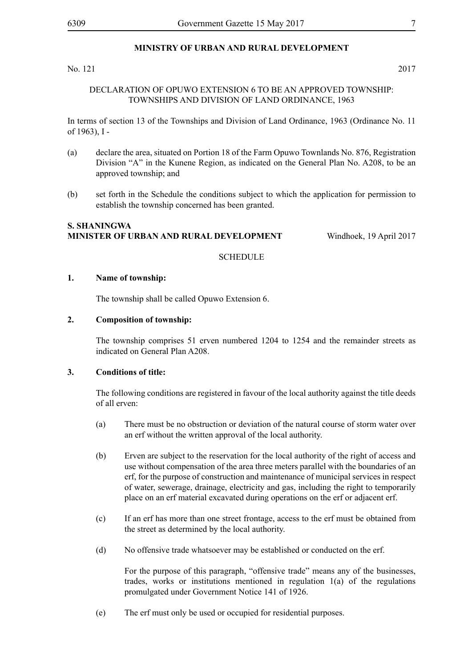#### No. 121 2017

#### DECLARATION OF OPUWO EXTENSION 6 TO BE AN APPROVED TOWNSHIP: TOWNSHIPS AND DIVISION OF LAND ORDINANCE, 1963

In terms of section 13 of the Townships and Division of Land Ordinance, 1963 (Ordinance No. 11 of 1963), I -

- (a) declare the area, situated on Portion 18 of the Farm Opuwo Townlands No. 876, Registration Division "A" in the Kunene Region, as indicated on the General Plan No. A208, to be an approved township; and
- (b) set forth in the Schedule the conditions subject to which the application for permission to establish the township concerned has been granted.

#### **S. Shaningwa Minister of Urban and Rural Development** Windhoek, 19 April 2017

#### **SCHEDULE**

#### **1. Name of township:**

The township shall be called Opuwo Extension 6.

#### **2. Composition of township:**

The township comprises 51 erven numbered 1204 to 1254 and the remainder streets as indicated on General Plan A208.

#### **3. Conditions of title:**

The following conditions are registered in favour of the local authority against the title deeds of all erven:

- (a) There must be no obstruction or deviation of the natural course of storm water over an erf without the written approval of the local authority.
- (b) Erven are subject to the reservation for the local authority of the right of access and use without compensation of the area three meters parallel with the boundaries of an erf, for the purpose of construction and maintenance of municipal services in respect of water, sewerage, drainage, electricity and gas, including the right to temporarily place on an erf material excavated during operations on the erf or adjacent erf.
- (c) If an erf has more than one street frontage, access to the erf must be obtained from the street as determined by the local authority.
- (d) No offensive trade whatsoever may be established or conducted on the erf.

For the purpose of this paragraph, "offensive trade" means any of the businesses, trades, works or institutions mentioned in regulation 1(a) of the regulations promulgated under Government Notice 141 of 1926.

(e) The erf must only be used or occupied for residential purposes.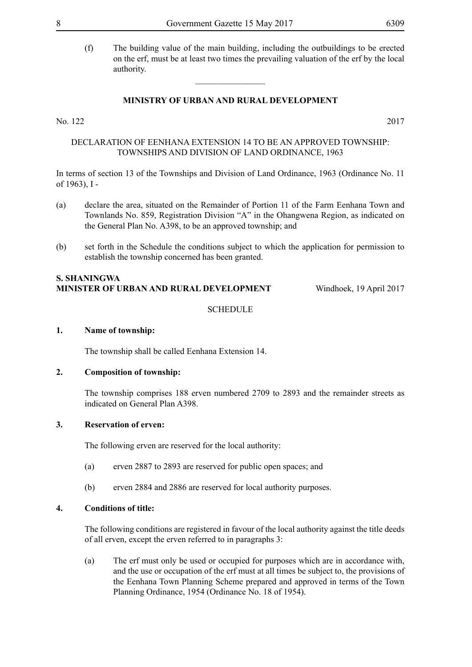(f) The building value of the main building, including the outbuildings to be erected on the erf, must be at least two times the prevailing valuation of the erf by the local authority.

#### **MINISTRY OF URBAN AND RURAL DEVELOPMENT**

 $\overline{\phantom{a}}$  , where  $\overline{\phantom{a}}$ 

#### No. 122 2017

DECLARATION OF EENHANA EXTENSION 14 TO BE AN APPROVED TOWNSHIP: TOWNSHIPS AND DIVISION OF LAND ORDINANCE, 1963

In terms of section 13 of the Townships and Division of Land Ordinance, 1963 (Ordinance No. 11 of 1963), I -

- (a) declare the area, situated on the Remainder of Portion 11 of the Farm Eenhana Town and Townlands No. 859, Registration Division "A" in the Ohangwena Region, as indicated on the General Plan No. A398, to be an approved township; and
- (b) set forth in the Schedule the conditions subject to which the application for permission to establish the township concerned has been granted.

#### **S. Shaningwa Minister of Urban and Rural Development** Windhoek, 19 April 2017

#### **SCHEDULE**

#### **1. Name of township:**

The township shall be called Eenhana Extension 14.

#### **2. Composition of township:**

The township comprises 188 erven numbered 2709 to 2893 and the remainder streets as indicated on General Plan A398.

#### **3. Reservation of erven:**

The following erven are reserved for the local authority:

- (a) erven 2887 to 2893 are reserved for public open spaces; and
- (b) erven 2884 and 2886 are reserved for local authority purposes.

#### **4. Conditions of title:**

The following conditions are registered in favour of the local authority against the title deeds of all erven, except the erven referred to in paragraphs 3:

(a) The erf must only be used or occupied for purposes which are in accordance with, and the use or occupation of the erf must at all times be subject to, the provisions of the Eenhana Town Planning Scheme prepared and approved in terms of the Town Planning Ordinance, 1954 (Ordinance No. 18 of 1954).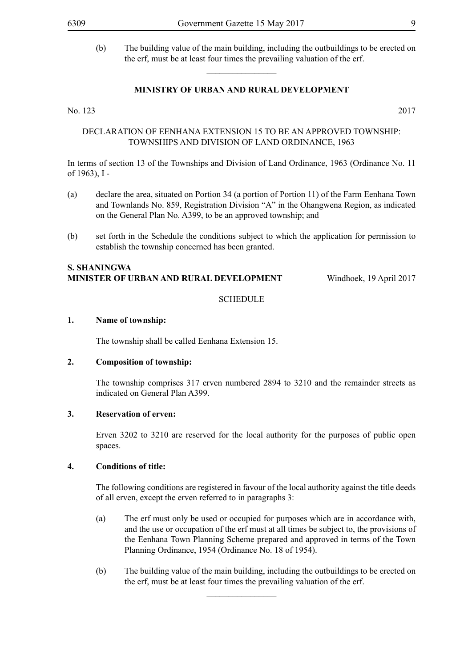(b) The building value of the main building, including the outbuildings to be erected on the erf, must be at least four times the prevailing valuation of the erf.

#### **MINISTRY OF URBAN AND RURAL DEVELOPMENT**

 $\overline{\phantom{a}}$  , where  $\overline{\phantom{a}}$ 

No. 123 2017

#### DECLARATION OF EENHANA EXTENSION 15 TO BE AN APPROVED TOWNSHIP: TOWNSHIPS AND DIVISION OF LAND ORDINANCE, 1963

In terms of section 13 of the Townships and Division of Land Ordinance, 1963 (Ordinance No. 11 of 1963), I -

- (a) declare the area, situated on Portion 34 (a portion of Portion 11) of the Farm Eenhana Town and Townlands No. 859, Registration Division "A" in the Ohangwena Region, as indicated on the General Plan No. A399, to be an approved township; and
- (b) set forth in the Schedule the conditions subject to which the application for permission to establish the township concerned has been granted.

#### **S. Shaningwa Minister of Urban and Rural Development** Windhoek, 19 April 2017

#### **SCHEDULE**

#### **1. Name of township:**

The township shall be called Eenhana Extension 15.

#### **2. Composition of township:**

The township comprises 317 erven numbered 2894 to 3210 and the remainder streets as indicated on General Plan A399.

#### **3. Reservation of erven:**

Erven 3202 to 3210 are reserved for the local authority for the purposes of public open spaces.

#### **4. Conditions of title:**

The following conditions are registered in favour of the local authority against the title deeds of all erven, except the erven referred to in paragraphs 3:

- (a) The erf must only be used or occupied for purposes which are in accordance with, and the use or occupation of the erf must at all times be subject to, the provisions of the Eenhana Town Planning Scheme prepared and approved in terms of the Town Planning Ordinance, 1954 (Ordinance No. 18 of 1954).
- (b) The building value of the main building, including the outbuildings to be erected on the erf, must be at least four times the prevailing valuation of the erf.

 $\frac{1}{2}$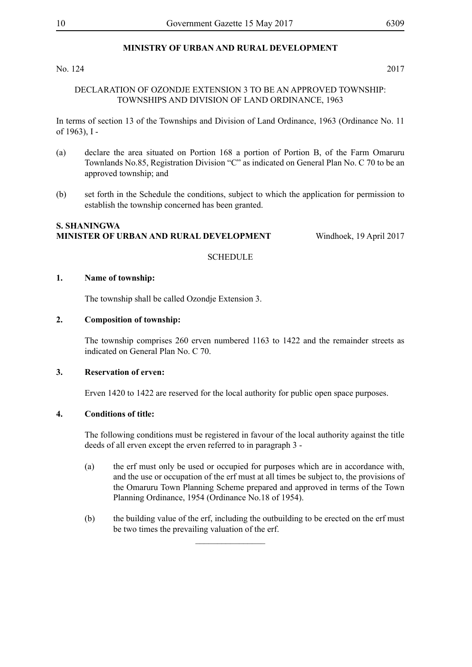#### No. 124 2017

#### DECLARATION OF OZONDJE EXTENSION 3 TO BE AN APPROVED TOWNSHIP: TOWNSHIPS AND DIVISION OF LAND ORDINANCE, 1963

In terms of section 13 of the Townships and Division of Land Ordinance, 1963 (Ordinance No. 11 of 1963), I -

- (a) declare the area situated on Portion 168 a portion of Portion B, of the Farm Omaruru Townlands No.85, Registration Division "C" as indicated on General Plan No. C 70 to be an approved township; and
- (b) set forth in the Schedule the conditions, subject to which the application for permission to establish the township concerned has been granted.

#### **S. Shaningwa Minister of Urban and Rural Development** Windhoek, 19 April 2017

#### **SCHEDULE**

#### **1. Name of township:**

The township shall be called Ozondje Extension 3.

#### **2. Composition of township:**

The township comprises 260 erven numbered 1163 to 1422 and the remainder streets as indicated on General Plan No. C 70.

#### **3. Reservation of erven:**

Erven 1420 to 1422 are reserved for the local authority for public open space purposes.

#### **4. Conditions of title:**

The following conditions must be registered in favour of the local authority against the title deeds of all erven except the erven referred to in paragraph 3 -

- (a) the erf must only be used or occupied for purposes which are in accordance with, and the use or occupation of the erf must at all times be subject to, the provisions of the Omaruru Town Planning Scheme prepared and approved in terms of the Town Planning Ordinance, 1954 (Ordinance No.18 of 1954).
- (b) the building value of the erf, including the outbuilding to be erected on the erf must be two times the prevailing valuation of the erf.

 $\overline{\phantom{a}}$  , where  $\overline{\phantom{a}}$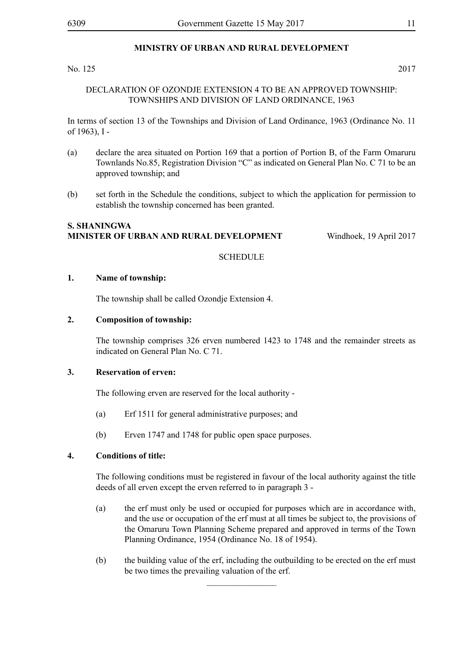#### No. 125 2017

#### DECLARATION OF OZONDJE EXTENSION 4 TO BE AN APPROVED TOWNSHIP: TOWNSHIPS AND DIVISION OF LAND ORDINANCE, 1963

In terms of section 13 of the Townships and Division of Land Ordinance, 1963 (Ordinance No. 11 of 1963), I -

- (a) declare the area situated on Portion 169 that a portion of Portion B, of the Farm Omaruru Townlands No.85, Registration Division "C" as indicated on General Plan No. C 71 to be an approved township; and
- (b) set forth in the Schedule the conditions, subject to which the application for permission to establish the township concerned has been granted.

#### **S. Shaningwa Minister of Urban and Rural Development** Windhoek, 19 April 2017

#### **SCHEDULE**

#### **1. Name of township:**

The township shall be called Ozondje Extension 4.

#### **2. Composition of township:**

The township comprises 326 erven numbered 1423 to 1748 and the remainder streets as indicated on General Plan No. C 71.

#### **3. Reservation of erven:**

The following erven are reserved for the local authority -

- (a) Erf 1511 for general administrative purposes; and
- (b) Erven 1747 and 1748 for public open space purposes.

#### **4. Conditions of title:**

The following conditions must be registered in favour of the local authority against the title deeds of all erven except the erven referred to in paragraph 3 -

- (a) the erf must only be used or occupied for purposes which are in accordance with, and the use or occupation of the erf must at all times be subject to, the provisions of the Omaruru Town Planning Scheme prepared and approved in terms of the Town Planning Ordinance, 1954 (Ordinance No. 18 of 1954).
- (b) the building value of the erf, including the outbuilding to be erected on the erf must be two times the prevailing valuation of the erf.

 $\frac{1}{2}$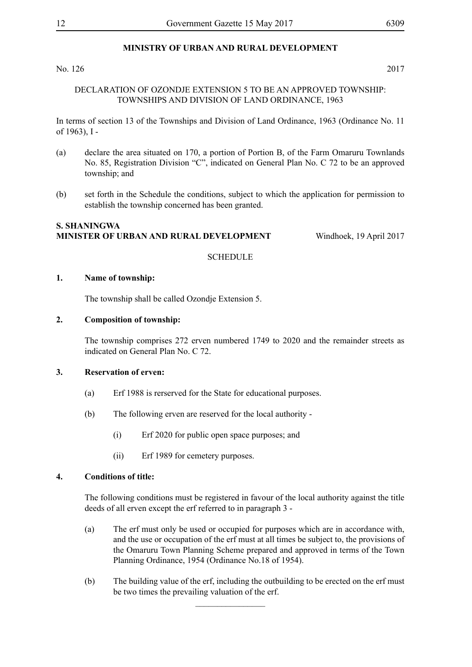#### No. 126 2017

#### DECLARATION OF OZONDJE EXTENSION 5 TO BE AN APPROVED TOWNSHIP: TOWNSHIPS AND DIVISION OF LAND ORDINANCE, 1963

In terms of section 13 of the Townships and Division of Land Ordinance, 1963 (Ordinance No. 11 of 1963), I -

- (a) declare the area situated on 170, a portion of Portion B, of the Farm Omaruru Townlands No. 85, Registration Division "C", indicated on General Plan No. C 72 to be an approved township; and
- (b) set forth in the Schedule the conditions, subject to which the application for permission to establish the township concerned has been granted.

#### **S. Shaningwa Minister of Urban and Rural Development** Windhoek, 19 April 2017

#### **SCHEDULE**

#### **1. Name of township:**

The township shall be called Ozondje Extension 5.

#### **2. Composition of township:**

The township comprises 272 erven numbered 1749 to 2020 and the remainder streets as indicated on General Plan No. C 72.

#### **3. Reservation of erven:**

- (a) Erf 1988 is rerserved for the State for educational purposes.
- (b) The following erven are reserved for the local authority
	- (i) Erf 2020 for public open space purposes; and
	- (ii) Erf 1989 for cemetery purposes.

#### **4. Conditions of title:**

The following conditions must be registered in favour of the local authority against the title deeds of all erven except the erf referred to in paragraph 3 -

- (a) The erf must only be used or occupied for purposes which are in accordance with, and the use or occupation of the erf must at all times be subject to, the provisions of the Omaruru Town Planning Scheme prepared and approved in terms of the Town Planning Ordinance, 1954 (Ordinance No.18 of 1954).
- (b) The building value of the erf, including the outbuilding to be erected on the erf must be two times the prevailing valuation of the erf.

 $\frac{1}{2}$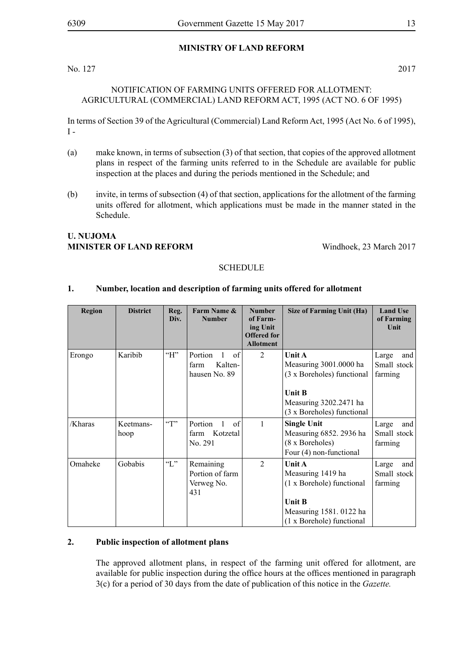#### **MINISTRY OF LAND REFORM**

No. 127 2017

#### NOTIFICATION OF FARMING UNITS OFFERED FOR ALLOTMENT: AGRICULTURAL (COMMERCIAL) LAND REFORM ACT, 1995 (ACT NO. 6 OF 1995)

In terms of Section 39 of the Agricultural (Commercial) Land Reform Act, 1995 (Act No. 6 of 1995),  $I -$ 

- (a) make known, in terms of subsection (3) of that section, that copies of the approved allotment plans in respect of the farming units referred to in the Schedule are available for public inspection at the places and during the periods mentioned in the Schedule; and
- (b) invite, in terms of subsection (4) of that section, applications for the allotment of the farming units offered for allotment, which applications must be made in the manner stated in the Schedule.

### **U. Nujoma MINISTER OF LAND REFORM** Windhoek, 23 March 2017

#### **SCHEDULE**

#### **1. Number, location and description of farming units offered for allotment**

| <b>Region</b> | <b>District</b>   | Reg.<br>Div.          | Farm Name &<br><b>Number</b>                      | <b>Number</b><br>of Farm-<br>ing Unit<br><b>Offered</b> for<br><b>Allotment</b> | Size of Farming Unit (Ha)                                                                                                               | <b>Land Use</b><br>of Farming<br>Unit  |
|---------------|-------------------|-----------------------|---------------------------------------------------|---------------------------------------------------------------------------------|-----------------------------------------------------------------------------------------------------------------------------------------|----------------------------------------|
| Erongo        | Karibib           | H                     | Portion<br>of<br>Kalten-<br>farm<br>hausen No. 89 | 2                                                                               | Unit A<br>Measuring 3001.0000 ha<br>(3 x Boreholes) functional<br><b>Unit B</b><br>Measuring 3202.2471 ha<br>(3 x Boreholes) functional | Large<br>and<br>Small stock<br>farming |
| /Kharas       | Keetmans-<br>hoop | $\lq\lq$ <sup>"</sup> | Portion<br>of<br>Kotzetal<br>farm<br>No. 291      | $\mathbf{1}$                                                                    | <b>Single Unit</b><br>Measuring 6852. 2936 ha<br>(8 x Boreholes)<br>Four (4) non-functional                                             | Large<br>and<br>Small stock<br>farming |
| Omaheke       | Gobabis           | $\lq\lq L$ "          | Remaining<br>Portion of farm<br>Verweg No.<br>431 | $\overline{2}$                                                                  | Unit A<br>Measuring 1419 ha<br>(1 x Borehole) functional<br><b>Unit B</b><br>Measuring 1581. 0122 ha<br>(1 x Borehole) functional       | Large<br>and<br>Small stock<br>farming |

#### **2. Public inspection of allotment plans**

The approved allotment plans, in respect of the farming unit offered for allotment, are available for public inspection during the office hours at the offices mentioned in paragraph 3(c) for a period of 30 days from the date of publication of this notice in the *Gazette.*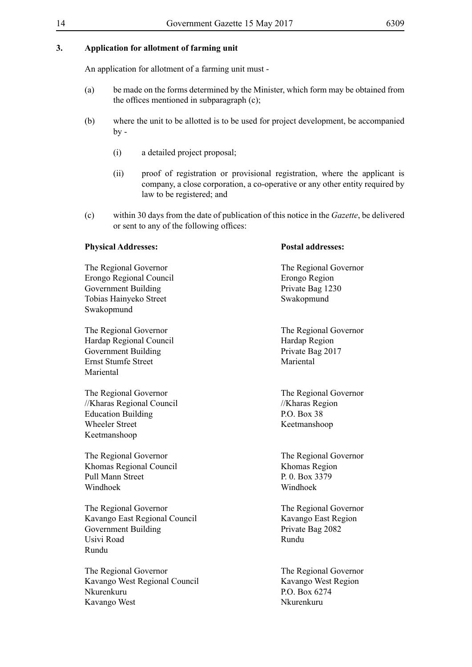#### **3. Application for allotment of farming unit**

An application for allotment of a farming unit must -

- (a) be made on the forms determined by the Minister, which form may be obtained from the offices mentioned in subparagraph (c);
- (b) where the unit to be allotted is to be used for project development, be accompanied  $bv -$ 
	- (i) a detailed project proposal;
	- (ii) proof of registration or provisional registration, where the applicant is company, a close corporation, a co-operative or any other entity required by law to be registered; and
- (c) within 30 days from the date of publication of this notice in the *Gazette*, be delivered or sent to any of the following offices:

#### **Physical Addresses: Postal addresses:**

Erongo Regional Council Erongo Region Government Building<br>
Tobias Hainyeko Street<br>
Swakopmund<br>
Swakopmund Tobias Hainyeko Street Swakopmund

The Regional Governor The Regional Governor Hardap Regional Council<br>Government Building<br>Private Bag 2017 Government Building Ernst Stumfe Street Mariental Mariental

The Regional Governor<br>
//Kharas Regional Council<br>
//Kharas Regional Council<br>
//Kharas Region //Kharas Regional Council //Kharas Region Education Building P.O. Box 38 Wheeler Street Keetmanshoop Keetmanshoop

The Regional Governor The Regional Governor Khomas Regional Council **Khomas Region** Pull Mann Street P. 0. Box 3379 Windhoek Windhoek

The Regional Governor<br>The Regional Governor Kavango East Regional Council Kavango East Region Government Building Private Bag 2082 Usivi Road Rundu Rundu

The Regional Governor The Regional Governor Kavango West Regional Council Kavango West Region Nkurenkuru P.O. Box 6274 Kavango West Nkurenkuru

The Regional Governor The Regional Governor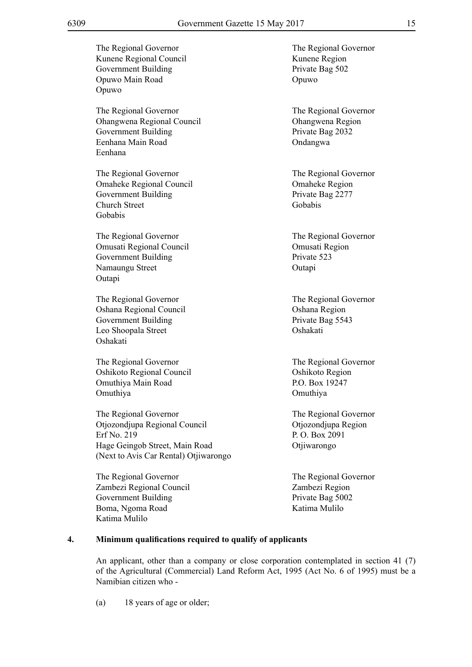The Regional Governor<br>The Regional Governor Kunene Regional Council Kunene Region Government Building Private Bag 502 Opuwo Main Road Opuwo Opuwo The Regional Governor The Regional Governor Ohangwena Regional Council Ohangwena Region Government Building Private Bag 2032 Eenhana Main Road Ondangwa Eenhana The Regional Governor The Regional Governor Omaheke Regional Council Omaheke Region Government Building Private Bag 2277 Church Street Gobabis Gobabis The Regional Governor The Regional Governor Omusati Regional Council Omusati Region Government Building Private 523 Namaungu Street Outapi Outapi The Regional Governor The Regional Governor Oshana Regional Council Oshana Region Government Building Private Bag 5543 Leo Shoopala Street Oshakati Oshakati The Regional Governor The Regional Governor Oshikoto Regional Council Oshikoto Region Omuthiya Main Road P.O. Box 19247 Omuthiya Omuthiya The Regional Governor The Regional Governor Otjozondjupa Regional Council Otjozondjupa Region Erf No. 219 P. O. Box 2091 Hage Geingob Street, Main Road Otjiwarongo (Next to Avis Car Rental) Otjiwarongo The Regional Governor The Regional Governor Zambezi Regional Council Zambezi Region Government Building Private Bag 5002 Boma, Ngoma Road Katima Mulilo Katima Mulilo **4. Minimum qualifications required to qualify of applicants**

An applicant, other than a company or close corporation contemplated in section 41 (7) of the Agricultural (Commercial) Land Reform Act, 1995 (Act No. 6 of 1995) must be a Namibian citizen who -

(a) 18 years of age or older;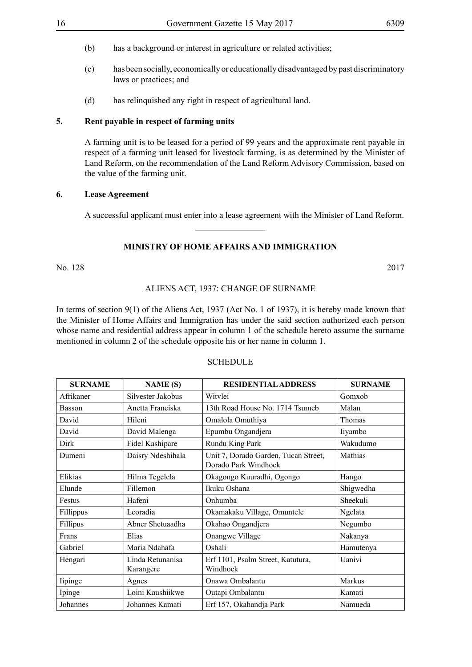- 
- (b) has a background or interest in agriculture or related activities;
- (c) has been socially, economically or educationally disadvantaged by past discriminatory laws or practices; and
- (d) has relinquished any right in respect of agricultural land.

#### **5. Rent payable in respect of farming units**

A farming unit is to be leased for a period of 99 years and the approximate rent payable in respect of a farming unit leased for livestock farming, is as determined by the Minister of Land Reform, on the recommendation of the Land Reform Advisory Commission, based on the value of the farming unit.

#### **6. Lease Agreement**

A successful applicant must enter into a lease agreement with the Minister of Land Reform.

#### **MINISTRY OF HOME AFFAIRS AND IMMIGRATION**

 $\overline{\phantom{a}}$  , where  $\overline{\phantom{a}}$ 

No. 128 2017

#### ALIENS ACT, 1937: CHANGE OF SURNAME

In terms of section 9(1) of the Aliens Act, 1937 (Act No. 1 of 1937), it is hereby made known that the Minister of Home Affairs and Immigration has under the said section authorized each person whose name and residential address appear in column 1 of the schedule hereto assume the surname mentioned in column 2 of the schedule opposite his or her name in column 1.

#### **SCHEDULE**

| <b>SURNAME</b> | <b>NAME</b> (S)               | <b>RESIDENTIAL ADDRESS</b>                                   | <b>SURNAME</b> |
|----------------|-------------------------------|--------------------------------------------------------------|----------------|
| Afrikaner      | Silvester Jakobus             | Witvlei                                                      | Gomxob         |
| Basson         | Anetta Franciska              | 13th Road House No. 1714 Tsumeb                              | Malan          |
| David          | Hileni                        | Omalola Omuthiya                                             | Thomas         |
| David          | David Malenga                 | Epumbu Ongandjera                                            | liyambo        |
| Dirk           | Fidel Kashipare               | Rundu King Park                                              | Wakudumo       |
| Dumeni         | Daisry Ndeshihala             | Unit 7, Dorado Garden, Tucan Street,<br>Dorado Park Windhoek | Mathias        |
| Elikias        | Hilma Tegelela                | Okagongo Kuuradhi, Ogongo                                    | Hango          |
| Elunde         | Fillemon                      | Ikuku Oshana                                                 | Shigwedha      |
| Festus         | Hafeni                        | Onhumba                                                      | Sheekuli       |
| Fillippus      | Leoradia                      | Okamakaku Village, Omuntele                                  | Ngelata        |
| Fillipus       | Abner Shetuaadha              | Okahao Ongandjera                                            | Negumbo        |
| Frans          | Elias                         | Onangwe Village                                              | Nakanya        |
| Gabriel        | Maria Ndahafa                 | Oshali                                                       | Hamutenya      |
| Hengari        | Linda Retunanisa<br>Karangere | Erf 1101, Psalm Street, Katutura,<br>Windhoek                | Uanivi         |
| lipinge        | Agnes                         | Onawa Ombalantu                                              | Markus         |
| Ipinge         | Loini Kaushiikwe              | Outapi Ombalantu                                             | Kamati         |
| Johannes       | Johannes Kamati               | Erf 157, Okahandja Park                                      | Namueda        |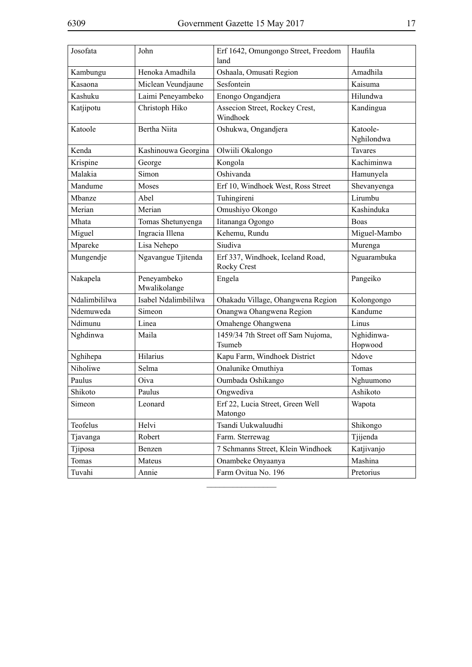| Josofata      | John                        | Erf 1642, Omungongo Street, Freedom<br>land            | Haufila                |
|---------------|-----------------------------|--------------------------------------------------------|------------------------|
| Kambungu      | Henoka Amadhila             | Oshaala, Omusati Region                                | Amadhila               |
| Kasaona       | Miclean Veundjaune          | Sesfontein                                             | Kaisuma                |
| Kashuku       | Laimi Peneyambeko           | Enongo Ongandjera                                      | Hilundwa               |
| Katjipotu     | Christoph Hiko              | Assecion Street, Rockey Crest,<br>Windhoek             | Kandingua              |
| Katoole       | Bertha Niita                | Oshukwa, Ongandjera                                    | Katoole-<br>Nghilondwa |
| Kenda         | Kashinouwa Georgina         | Olwiili Okalongo                                       | Tavares                |
| Krispine      | George                      | Kongola                                                | Kachiminwa             |
| Malakia       | Simon                       | Oshivanda                                              | Hamunyela              |
| Mandume       | Moses                       | Erf 10, Windhoek West, Ross Street                     | Shevanyenga            |
| Mbanze        | Abel                        | Tuhingireni                                            | Lirumbu                |
| Merian        | Merian                      | Omushiyo Okongo                                        | Kashinduka             |
| Mhata         | Tomas Shetunyenga           | Iitananga Ogongo                                       | <b>Boas</b>            |
| Miguel        | Ingracia Illena             | Kehemu, Rundu                                          | Miguel-Mambo           |
| Mpareke       | Lisa Nehepo                 | Siudiva                                                | Murenga                |
| Mungendje     | Ngavangue Tjitenda          | Erf 337, Windhoek, Iceland Road,<br><b>Rocky Crest</b> | Nguarambuka            |
| Nakapela      | Peneyambeko<br>Mwalikolange | Engela                                                 | Pangeiko               |
| Ndalimbililwa | Isabel Ndalimbililwa        | Ohakadu Village, Ohangwena Region                      | Kolongongo             |
| Ndemuweda     | Simeon                      | Onangwa Ohangwena Region                               | Kandume                |
| Ndimunu       | Linea                       | Omahenge Ohangwena                                     | Linus                  |
| Nghdinwa      | Maila                       | 1459/34 7th Street off Sam Nujoma,<br>Tsumeb           | Nghidinwa-<br>Hopwood  |
| Nghihepa      | Hilarius                    | Kapu Farm, Windhoek District                           | Ndove                  |
| Niholiwe      | Selma                       | Onalunike Omuthiya                                     | Tomas                  |
| Paulus        | Oiva                        | Oumbada Oshikango                                      | Nghuumono              |
| Shikoto       | Paulus                      | Ongwediva                                              | Ashikoto               |
| Simeon        | Leonard                     | Erf 22, Lucia Street, Green Well<br>Matongo            | Wapota                 |
| Teofelus      | Helvi                       | Tsandi Uukwaluudhi                                     | Shikongo               |
| Tjavanga      | Robert                      | Farm. Sterrewag                                        | Tjijenda               |
| Tjiposa       | Benzen                      | 7 Schmanns Street, Klein Windhoek                      | Katjivanjo             |
| Tomas         | Mateus                      | Onambeke Onyaanya                                      | Mashina                |
| Tuvahi        | Annie                       | Farm Ovitua No. 196                                    | Pretorius              |

 $\overline{\phantom{a}}$  , where  $\overline{\phantom{a}}$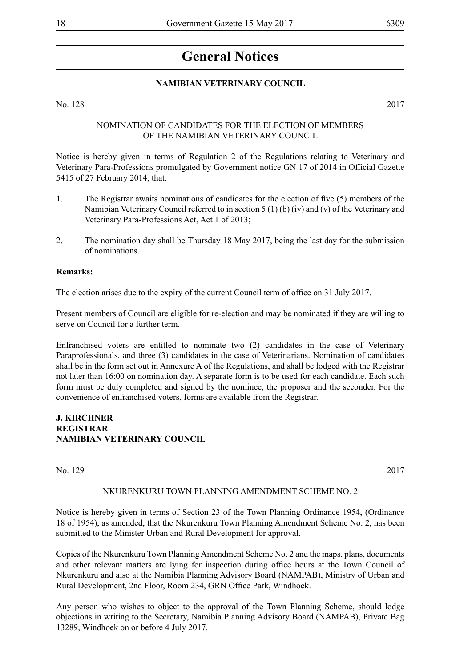# **General Notices**

### **NAMIBIAN VETERINARY COUNCIL**

No. 128 2017

#### Nomination of Candidates for the election of Members of the Namibian Veterinary Council

Notice is hereby given in terms of Regulation 2 of the Regulations relating to Veterinary and Veterinary Para-Professions promulgated by Government notice GN 17 of 2014 in Official Gazette 5415 of 27 February 2014, that:

- 1. The Registrar awaits nominations of candidates for the election of five (5) members of the Namibian Veterinary Council referred to in section 5 (1) (b) (iv) and (v) of the Veterinary and Veterinary Para-Professions Act, Act 1 of 2013;
- 2. The nomination day shall be Thursday 18 May 2017, being the last day for the submission of nominations.

#### **Remarks:**

The election arises due to the expiry of the current Council term of office on 31 July 2017.

Present members of Council are eligible for re-election and may be nominated if they are willing to serve on Council for a further term.

Enfranchised voters are entitled to nominate two (2) candidates in the case of Veterinary Paraprofessionals, and three (3) candidates in the case of Veterinarians. Nomination of candidates shall be in the form set out in Annexure A of the Regulations, and shall be lodged with the Registrar not later than 16:00 on nomination day. A separate form is to be used for each candidate. Each such form must be duly completed and signed by the nominee, the proposer and the seconder. For the convenience of enfranchised voters, forms are available from the Registrar.

#### **J. Kirchner REGISTRAR NAMIBIAN VETERINARY COUNCIL**

No. 129 2017

#### NKURENKURU TOWN PLANNING AMENDMENT SCHEME NO. 2

 $\frac{1}{2}$ 

Notice is hereby given in terms of Section 23 of the Town Planning Ordinance 1954, (Ordinance 18 of 1954), as amended, that the Nkurenkuru Town Planning Amendment Scheme No. 2, has been submitted to the Minister Urban and Rural Development for approval.

Copies of the Nkurenkuru Town Planning Amendment Scheme No. 2 and the maps, plans, documents and other relevant matters are lying for inspection during office hours at the Town Council of Nkurenkuru and also at the Namibia Planning Advisory Board (NAMPAB), Ministry of Urban and Rural Development, 2nd Floor, Room 234, GRN Office Park, Windhoek.

Any person who wishes to object to the approval of the Town Planning Scheme, should lodge objections in writing to the Secretary, Namibia Planning Advisory Board (NAMPAB), Private Bag 13289, Windhoek on or before 4 July 2017.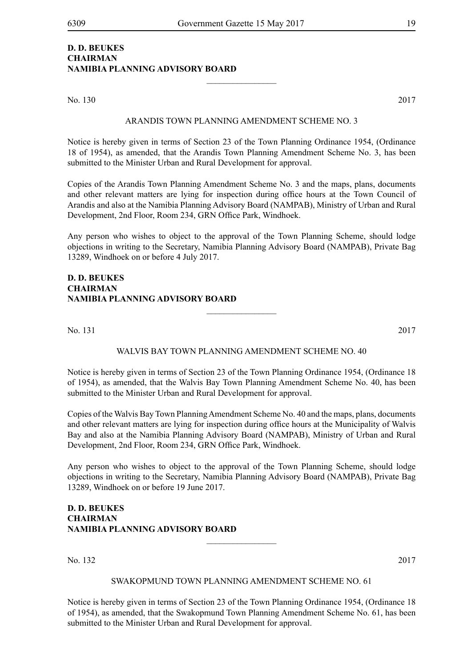#### **D. D. BEUKES CHAIRMAN NAMIBIA PLANNING ADVISORY BOARD**

No. 130 2017

#### ARANDIS TOWN PLANNING AMENDMENT SCHEME NO. 3

 $\frac{1}{2}$ 

Notice is hereby given in terms of Section 23 of the Town Planning Ordinance 1954, (Ordinance 18 of 1954), as amended, that the Arandis Town Planning Amendment Scheme No. 3, has been submitted to the Minister Urban and Rural Development for approval.

Copies of the Arandis Town Planning Amendment Scheme No. 3 and the maps, plans, documents and other relevant matters are lying for inspection during office hours at the Town Council of Arandis and also at the Namibia Planning Advisory Board (NAMPAB), Ministry of Urban and Rural Development, 2nd Floor, Room 234, GRN Office Park, Windhoek.

Any person who wishes to object to the approval of the Town Planning Scheme, should lodge objections in writing to the Secretary, Namibia Planning Advisory Board (NAMPAB), Private Bag 13289, Windhoek on or before 4 July 2017.

#### **D. D. BEUKES CHAIRMAN NAMIBIA PLANNING ADVISORY BOARD**

No. 131 2017

#### WALVIS BAY TOWN PLANNING AMENDMENT SCHEME NO. 40

 $\overline{\phantom{a}}$  , where  $\overline{\phantom{a}}$ 

Notice is hereby given in terms of Section 23 of the Town Planning Ordinance 1954, (Ordinance 18 of 1954), as amended, that the Walvis Bay Town Planning Amendment Scheme No. 40, has been submitted to the Minister Urban and Rural Development for approval.

Copies of the Walvis Bay Town Planning Amendment Scheme No. 40 and the maps, plans, documents and other relevant matters are lying for inspection during office hours at the Municipality of Walvis Bay and also at the Namibia Planning Advisory Board (NAMPAB), Ministry of Urban and Rural Development, 2nd Floor, Room 234, GRN Office Park, Windhoek.

Any person who wishes to object to the approval of the Town Planning Scheme, should lodge objections in writing to the Secretary, Namibia Planning Advisory Board (NAMPAB), Private Bag 13289, Windhoek on or before 19 June 2017.

 $\overline{\phantom{a}}$  , where  $\overline{\phantom{a}}$ 

### **D. D. BEUKES CHAIRMAN NAMIBIA PLANNING ADVISORY BOARD**

No. 132 2017

#### SWAKOPMUND TOWN PLANNING AMENDMENT SCHEME NO. 61

Notice is hereby given in terms of Section 23 of the Town Planning Ordinance 1954, (Ordinance 18 of 1954), as amended, that the Swakopmund Town Planning Amendment Scheme No. 61, has been submitted to the Minister Urban and Rural Development for approval.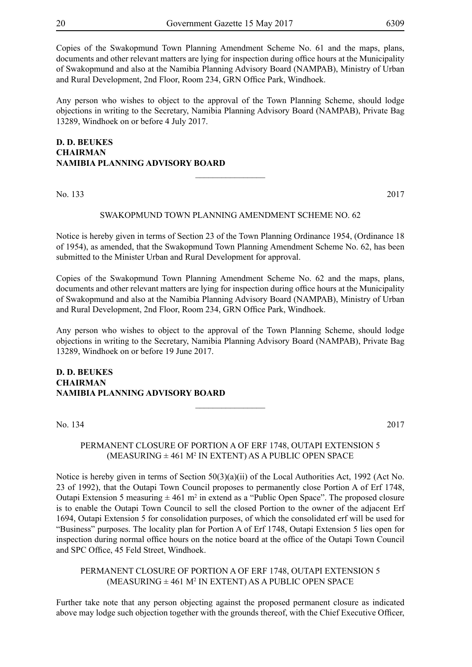Copies of the Swakopmund Town Planning Amendment Scheme No. 61 and the maps, plans, documents and other relevant matters are lying for inspection during office hours at the Municipality of Swakopmund and also at the Namibia Planning Advisory Board (NAMPAB), Ministry of Urban and Rural Development, 2nd Floor, Room 234, GRN Office Park, Windhoek.

Any person who wishes to object to the approval of the Town Planning Scheme, should lodge objections in writing to the Secretary, Namibia Planning Advisory Board (NAMPAB), Private Bag 13289, Windhoek on or before 4 July 2017.

#### **D. D. BEUKES CHAIRMAN NAMIBIA PLANNING ADVISORY BOARD**  $\overline{\phantom{a}}$  , where  $\overline{\phantom{a}}$

No. 133 2017

#### SWAKOPMUND TOWN PLANNING AMENDMENT SCHEME NO. 62

Notice is hereby given in terms of Section 23 of the Town Planning Ordinance 1954, (Ordinance 18 of 1954), as amended, that the Swakopmund Town Planning Amendment Scheme No. 62, has been submitted to the Minister Urban and Rural Development for approval.

Copies of the Swakopmund Town Planning Amendment Scheme No. 62 and the maps, plans, documents and other relevant matters are lying for inspection during office hours at the Municipality of Swakopmund and also at the Namibia Planning Advisory Board (NAMPAB), Ministry of Urban and Rural Development, 2nd Floor, Room 234, GRN Office Park, Windhoek.

Any person who wishes to object to the approval of the Town Planning Scheme, should lodge objections in writing to the Secretary, Namibia Planning Advisory Board (NAMPAB), Private Bag 13289, Windhoek on or before 19 June 2017.

**D. D. BEUKES CHAIRMAN NAMIBIA PLANNING ADVISORY BOARD**

No. 134 2017

#### PERMANENT CLOSURE OF PORTION A OF ERF 1748, OUTAPI EXTENSION 5 (MEASURING ± 461 M<sup>2</sup> IN EXTENT) AS A PUBLIC OPEN SPACE

 $\frac{1}{2}$ 

Notice is hereby given in terms of Section 50(3)(a)(ii) of the Local Authorities Act, 1992 (Act No. 23 of 1992), that the Outapi Town Council proposes to permanently close Portion A of Erf 1748, Outapi Extension 5 measuring  $\pm$  461 m<sup>2</sup> in extend as a "Public Open Space". The proposed closure is to enable the Outapi Town Council to sell the closed Portion to the owner of the adjacent Erf 1694, Outapi Extension 5 for consolidation purposes, of which the consolidated erf will be used for "Business" purposes. The locality plan for Portion A of Erf 1748, Outapi Extension 5 lies open for inspection during normal office hours on the notice board at the office of the Outapi Town Council and SPC Office, 45 Feld Street, Windhoek.

PERMANENT CLOSURE OF PORTION A OF ERF 1748, OUTAPI EXTENSION 5  $(MEASURING \pm 461 M<sup>2</sup> IN EXTENT) AS A PUBLIC OPEN SPACE$ 

Further take note that any person objecting against the proposed permanent closure as indicated above may lodge such objection together with the grounds thereof, with the Chief Executive Officer,